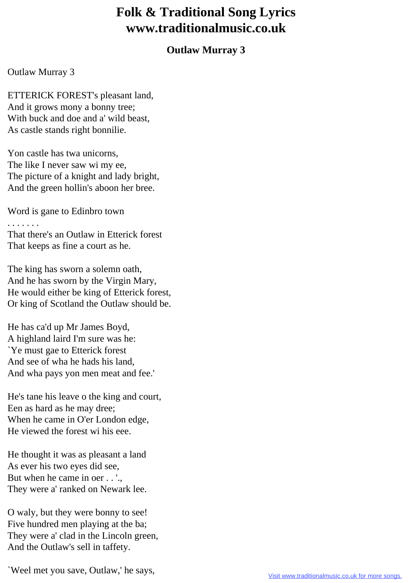## **Folk & Traditional Song Lyrics www.traditionalmusic.co.uk**

## **Outlaw Murray 3**

## Outlaw Murray 3

ETTERICK FOREST's pleasant land, And it grows mony a bonny tree; With buck and doe and a' wild beast, As castle stands right bonnilie.

Yon castle has twa unicorns, The like I never saw wi my ee, The picture of a knight and lady bright, And the green hollin's aboon her bree.

Word is gane to Edinbro town

. . . . . . . That there's an Outlaw in Etterick forest That keeps as fine a court as he.

The king has sworn a solemn oath, And he has sworn by the Virgin Mary, He would either be king of Etterick forest, Or king of Scotland the Outlaw should be.

He has ca'd up Mr James Boyd, A highland laird I'm sure was he: `Ye must gae to Etterick forest And see of wha he hads his land, And wha pays yon men meat and fee.'

He's tane his leave o the king and court, Een as hard as he may dree; When he came in O'er London edge, He viewed the forest wi his eee.

He thought it was as pleasant a land As ever his two eyes did see, But when he came in oer . . '.. They were a' ranked on Newark lee.

O waly, but they were bonny to see! Five hundred men playing at the ba; They were a' clad in the Lincoln green, And the Outlaw's sell in taffety.

`Weel met you save, Outlaw,' he says,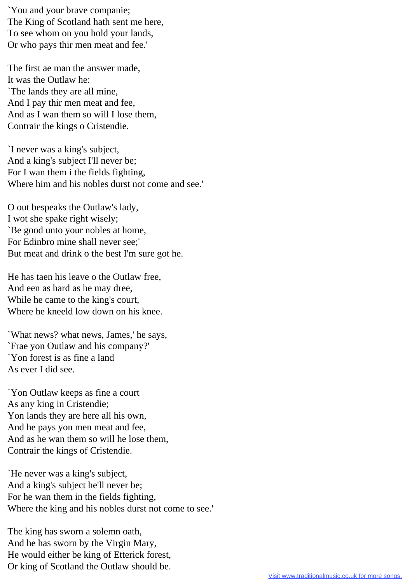`You and your brave companie; The King of Scotland hath sent me here, To see whom on you hold your lands, Or who pays thir men meat and fee.'

The first ae man the answer made, It was the Outlaw he: `The lands they are all mine, And I pay thir men meat and fee, And as I wan them so will I lose them, Contrair the kings o Cristendie.

`I never was a king's subject, And a king's subject I'll never be; For I wan them i the fields fighting, Where him and his nobles durst not come and see.'

O out bespeaks the Outlaw's lady, I wot she spake right wisely; `Be good unto your nobles at home, For Edinbro mine shall never see;' But meat and drink o the best I'm sure got he.

He has taen his leave o the Outlaw free, And een as hard as he may dree, While he came to the king's court, Where he kneeld low down on his knee.

`What news? what news, James,' he says, `Frae yon Outlaw and his company?' `Yon forest is as fine a land As ever I did see.

`Yon Outlaw keeps as fine a court As any king in Cristendie; Yon lands they are here all his own, And he pays yon men meat and fee, And as he wan them so will he lose them, Contrair the kings of Cristendie.

`He never was a king's subject, And a king's subject he'll never be; For he wan them in the fields fighting, Where the king and his nobles durst not come to see.'

The king has sworn a solemn oath, And he has sworn by the Virgin Mary, He would either be king of Etterick forest, Or king of Scotland the Outlaw should be.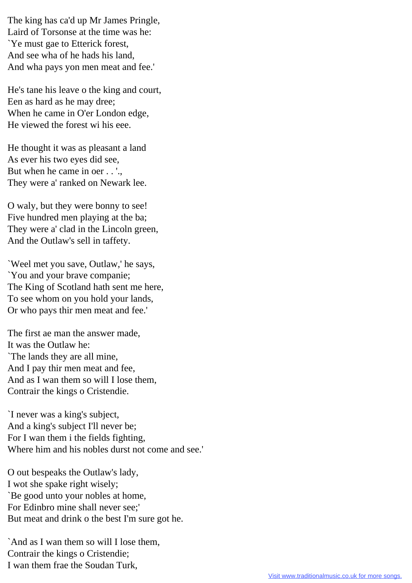The king has ca'd up Mr James Pringle, Laird of Torsonse at the time was he: `Ye must gae to Etterick forest, And see wha of he hads his land, And wha pays yon men meat and fee.'

He's tane his leave o the king and court, Een as hard as he may dree; When he came in O'er London edge, He viewed the forest wi his eee.

He thought it was as pleasant a land As ever his two eyes did see, But when he came in oer . . '.. They were a' ranked on Newark lee.

O waly, but they were bonny to see! Five hundred men playing at the ba; They were a' clad in the Lincoln green, And the Outlaw's sell in taffety.

`Weel met you save, Outlaw,' he says, `You and your brave companie; The King of Scotland hath sent me here, To see whom on you hold your lands, Or who pays thir men meat and fee.'

The first ae man the answer made, It was the Outlaw he: `The lands they are all mine, And I pay thir men meat and fee, And as I wan them so will I lose them, Contrair the kings o Cristendie.

`I never was a king's subject, And a king's subject I'll never be; For I wan them i the fields fighting, Where him and his nobles durst not come and see.'

O out bespeaks the Outlaw's lady, I wot she spake right wisely; `Be good unto your nobles at home, For Edinbro mine shall never see;' But meat and drink o the best I'm sure got he.

`And as I wan them so will I lose them, Contrair the kings o Cristendie; I wan them frae the Soudan Turk,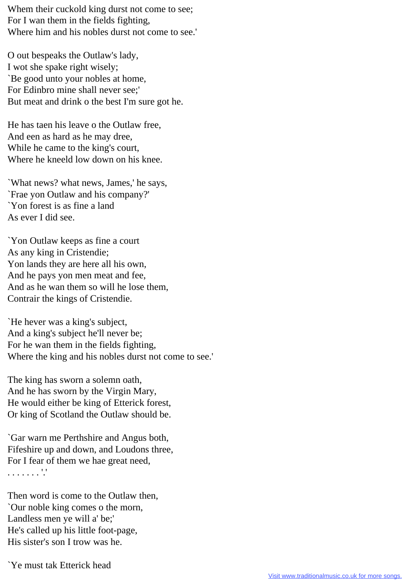Whem their cuckold king durst not come to see; For I wan them in the fields fighting, Where him and his nobles durst not come to see.'

O out bespeaks the Outlaw's lady, I wot she spake right wisely; `Be good unto your nobles at home, For Edinbro mine shall never see;' But meat and drink o the best I'm sure got he.

He has taen his leave o the Outlaw free, And een as hard as he may dree, While he came to the king's court, Where he kneeld low down on his knee.

`What news? what news, James,' he says, `Frae yon Outlaw and his company?' `Yon forest is as fine a land As ever I did see.

`Yon Outlaw keeps as fine a court As any king in Cristendie; Yon lands they are here all his own, And he pays yon men meat and fee, And as he wan them so will he lose them, Contrair the kings of Cristendie.

`He hever was a king's subject, And a king's subject he'll never be; For he wan them in the fields fighting, Where the king and his nobles durst not come to see.'

The king has sworn a solemn oath, And he has sworn by the Virgin Mary, He would either be king of Etterick forest, Or king of Scotland the Outlaw should be.

`Gar warn me Perthshire and Angus both, Fifeshire up and down, and Loudons three, For I fear of them we hae great need, . . . . . . . '.'

Then word is come to the Outlaw then, `Our noble king comes o the morn, Landless men ye will a' be;' He's called up his little foot-page, His sister's son I trow was he.

`Ye must tak Etterick head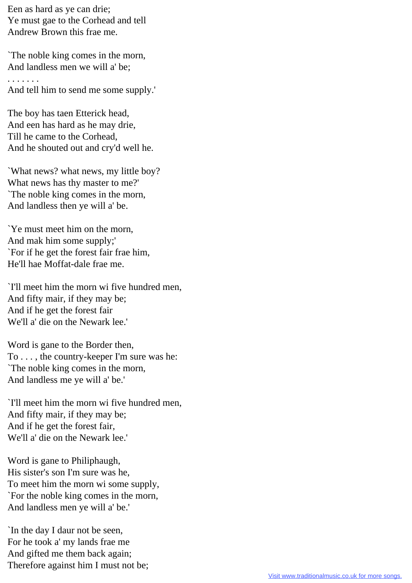Een as hard as ye can drie; Ye must gae to the Corhead and tell Andrew Brown this frae me.

`The noble king comes in the morn, And landless men we will a' be; . . . . . . .

And tell him to send me some supply.'

The boy has taen Etterick head, And een has hard as he may drie, Till he came to the Corhead, And he shouted out and cry'd well he.

`What news? what news, my little boy? What news has thy master to me?' `The noble king comes in the morn, And landless then ye will a' be.

`Ye must meet him on the morn, And mak him some supply;' `For if he get the forest fair frae him, He'll hae Moffat-dale frae me.

`I'll meet him the morn wi five hundred men, And fifty mair, if they may be; And if he get the forest fair We'll a' die on the Newark lee.'

Word is gane to the Border then, To . . . , the country-keeper I'm sure was he: `The noble king comes in the morn, And landless me ye will a' be.'

`I'll meet him the morn wi five hundred men, And fifty mair, if they may be; And if he get the forest fair, We'll a' die on the Newark lee.'

Word is gane to Philiphaugh, His sister's son I'm sure was he, To meet him the morn wi some supply, `For the noble king comes in the morn, And landless men ye will a' be.'

`In the day I daur not be seen, For he took a' my lands frae me And gifted me them back again; Therefore against him I must not be;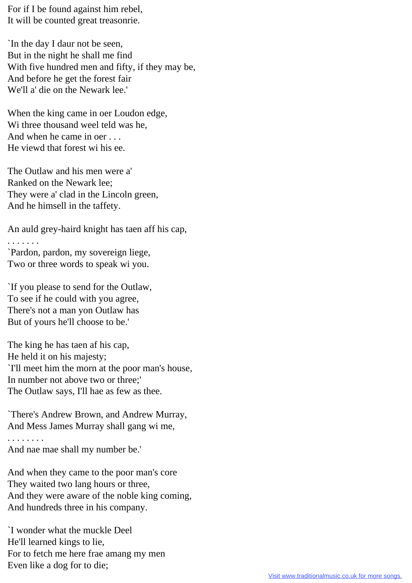For if I be found against him rebel, It will be counted great treasonrie.

`In the day I daur not be seen, But in the night he shall me find With five hundred men and fifty, if they may be, And before he get the forest fair We'll a' die on the Newark lee.'

When the king came in oer Loudon edge, Wi three thousand weel teld was he, And when he came in oer . . . He viewd that forest wi his ee.

The Outlaw and his men were a' Ranked on the Newark lee; They were a' clad in the Lincoln green, And he himsell in the taffety.

An auld grey-haird knight has taen aff his cap,

. . . . . . .

`Pardon, pardon, my sovereign liege, Two or three words to speak wi you.

`If you please to send for the Outlaw, To see if he could with you agree, There's not a man yon Outlaw has But of yours he'll choose to be.'

The king he has taen af his cap, He held it on his majesty; `I'll meet him the morn at the poor man's house, In number not above two or three;' The Outlaw says, I'll hae as few as thee.

`There's Andrew Brown, and Andrew Murray, And Mess James Murray shall gang wi me,

. . . . . . . . And nae mae shall my number be.'

And when they came to the poor man's core They waited two lang hours or three, And they were aware of the noble king coming, And hundreds three in his company.

`I wonder what the muckle Deel He'll learned kings to lie, For to fetch me here frae amang my men Even like a dog for to die;